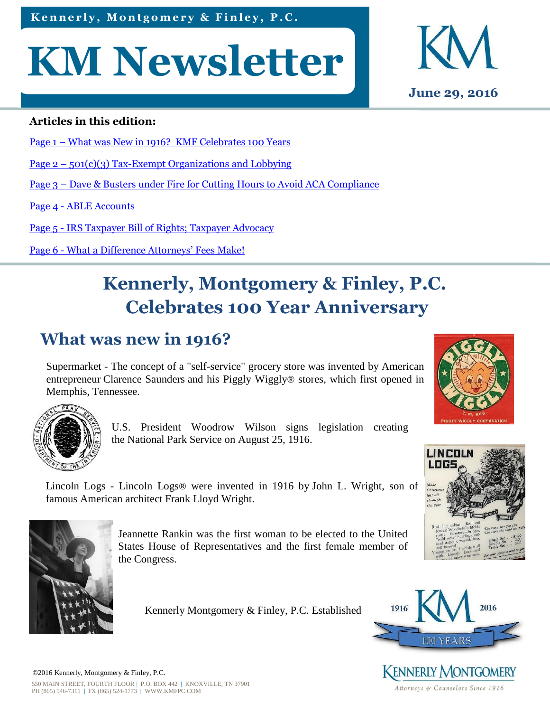Kennerly, Montgomery & Finley, P.C.

# **KM Newsletter**



#### **Articles in this edition:**

- Page 1 What was New in 1916? KMF Celebrates 100 Years
- Page  $2 501(c)(3)$  Tax-Exempt Organizations and Lobbying
- Page 3 Dave & Busters under Fire for Cutting Hours to Avoid ACA Compliance

Page 4 - ABLE Accounts

Page 5 - IRS Taxpayer Bill of Rights; Taxpayer Advocacy

Page 6 - What a Difference Attorneys' Fees Make!

# **Kennerly, Montgomery & Finley, P.C. Celebrates 100 Year Anniversary**

# **What was new in 1916?**

Supermarket - The concept of a "self-service" grocery store was invented by American entrepreneur Clarence Saunders and his Piggly Wiggly® stores, which first opened in Memphis, Tennessee.



U.S. President Woodrow Wilson signs legislation creating the National Park Service on August 25, 1916.





Lincoln Logs - Lincoln Logs® were invented in 1916 by John L. Wright, son of famous American architect Frank Lloyd Wright.



Jeannette Rankin was the first woman to be elected to the United States House of Representatives and the first female member of the Congress.

Kennerly Montgomery & Finley, P.C. Established



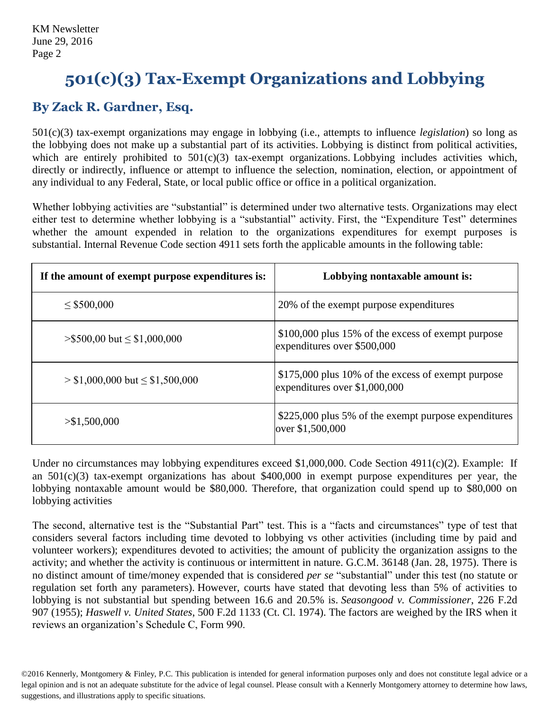# **501(c)(3) Tax-Exempt Organizations and Lobbying**

#### **By Zack R. Gardner, Esq.**

501(c)(3) tax-exempt organizations may engage in lobbying (i.e., attempts to influence *legislation*) so long as the lobbying does not make up a substantial part of its activities. Lobbying is distinct from political activities, which are entirely prohibited to  $501(c)(3)$  tax-exempt organizations. Lobbying includes activities which, directly or indirectly, influence or attempt to influence the selection, nomination, election, or appointment of any individual to any Federal, State, or local public office or office in a political organization.

Whether lobbying activities are "substantial" is determined under two alternative tests. Organizations may elect either test to determine whether lobbying is a "substantial" activity. First, the "Expenditure Test" determines whether the amount expended in relation to the organizations expenditures for exempt purposes is substantial. Internal Revenue Code section 4911 sets forth the applicable amounts in the following table:

| If the amount of exempt purpose expenditures is: | Lobbying nontaxable amount is:                                                      |
|--------------------------------------------------|-------------------------------------------------------------------------------------|
| $\leq$ \$500,000                                 | 20% of the exempt purpose expenditures                                              |
| $>\$500,00 \text{ but } \leq $1,000,000$         | \$100,000 plus 15% of the excess of exempt purpose<br>expenditures over \$500,000   |
| $>$ \$1,000,000 but $\leq$ \$1,500,000           | \$175,000 plus 10% of the excess of exempt purpose<br>expenditures over \$1,000,000 |
| > \$1,500,000                                    | \$225,000 plus 5% of the exempt purpose expenditures<br>over \$1,500,000            |

Under no circumstances may lobbying expenditures exceed \$1,000,000. Code Section 4911(c)(2). Example: If an 501(c)(3) tax-exempt organizations has about \$400,000 in exempt purpose expenditures per year, the lobbying nontaxable amount would be \$80,000. Therefore, that organization could spend up to \$80,000 on lobbying activities

The second, alternative test is the "Substantial Part" test. This is a "facts and circumstances" type of test that considers several factors including time devoted to lobbying vs other activities (including time by paid and volunteer workers); expenditures devoted to activities; the amount of publicity the organization assigns to the activity; and whether the activity is continuous or intermittent in nature. G.C.M. 36148 (Jan. 28, 1975). There is no distinct amount of time/money expended that is considered *per se* "substantial" under this test (no statute or regulation set forth any parameters). However, courts have stated that devoting less than 5% of activities to lobbying is not substantial but spending between 16.6 and 20.5% is. *Seasongood v. Commissioner*, 226 F.2d 907 (1955); *Haswell v. United States*, 500 F.2d 1133 (Ct. Cl. 1974). The factors are weighed by the IRS when it reviews an organization's Schedule C, Form 990.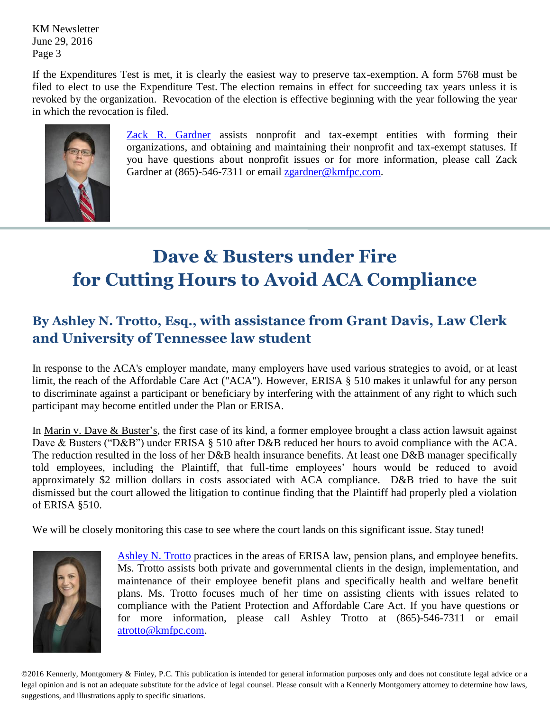KM Newsletter June 29, 2016 Page 3

If the Expenditures Test is met, it is clearly the easiest way to preserve tax-exemption. A form 5768 must be filed to elect to use the Expenditure Test. The election remains in effect for succeeding tax years unless it is revoked by the organization. Revocation of the election is effective beginning with the year following the year in which the revocation is filed.



[Zack R. Gardner](http://www.kmfpc.com/attorneys/zack_r_gardner.aspx) assists nonprofit and tax-exempt entities with forming their organizations, and obtaining and maintaining their nonprofit and tax-exempt statuses. If you have questions about nonprofit issues or for more information, please call Zack Gardner at (865)-546-7311 or email [zgardner@kmfpc.com.](mailto:zgardner@kmfpc.com?subject=Nonprofit%20information)

# **Dave & Busters under Fire for Cutting Hours to Avoid ACA Compliance**

## **By Ashley N. Trotto, Esq., with assistance from Grant Davis, Law Clerk and University of Tennessee law student**

In response to the ACA's employer mandate, many employers have used various strategies to avoid, or at least limit, the reach of the Affordable Care Act ("ACA"). However, ERISA § 510 makes it unlawful for any person to discriminate against a participant or beneficiary by interfering with the attainment of any right to which such participant may become entitled under the Plan or ERISA.

In Marin v. Dave & Buster's, the first case of its kind, a former employee brought a class action lawsuit against Dave & Busters ("D&B") under ERISA § 510 after D&B reduced her hours to avoid compliance with the ACA. The reduction resulted in the loss of her D&B health insurance benefits. At least one D&B manager specifically told employees, including the Plaintiff, that full-time employees' hours would be reduced to avoid approximately \$2 million dollars in costs associated with ACA compliance. D&B tried to have the suit dismissed but the court allowed the litigation to continue finding that the Plaintiff had properly pled a violation of ERISA §510.

We will be closely monitoring this case to see where the court lands on this significant issue. Stay tuned!



[Ashley N. Trotto](http://www.kmfpc.com/attorneys/ashley_n_trotto.aspx) practices in the areas of ERISA law, pension plans, and employee benefits. Ms. Trotto assists both private and governmental clients in the design, implementation, and maintenance of their employee benefit plans and specifically health and welfare benefit plans. Ms. Trotto focuses much of her time on assisting clients with issues related to compliance with the Patient Protection and Affordable Care Act. If you have questions or for more information, please call Ashley Trotto at (865)-546-7311 or email [atrotto@kmfpc.com.](mailto:atrotto@kmfpc.com)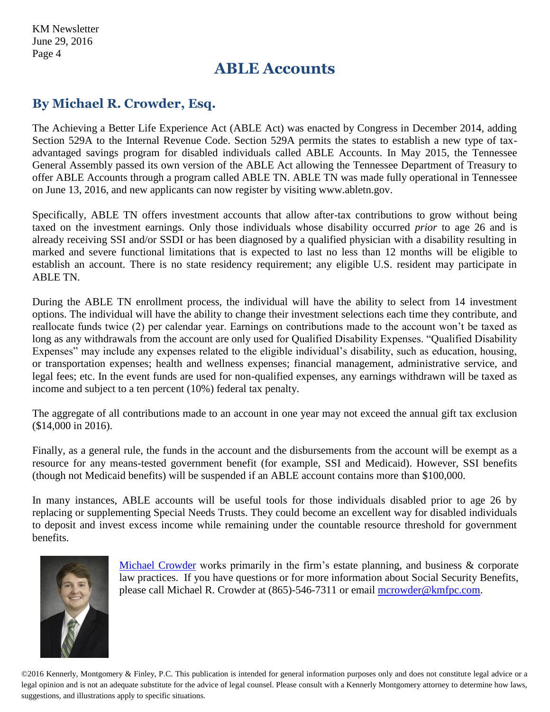KM Newsletter June 29, 2016 Page 4

## **ABLE Accounts**

#### **By Michael R. Crowder, Esq.**

The Achieving a Better Life Experience Act (ABLE Act) was enacted by Congress in December 2014, adding Section 529A to the Internal Revenue Code. Section 529A permits the states to establish a new type of taxadvantaged savings program for disabled individuals called ABLE Accounts. In May 2015, the Tennessee General Assembly passed its own version of the ABLE Act allowing the Tennessee Department of Treasury to offer ABLE Accounts through a program called ABLE TN. ABLE TN was made fully operational in Tennessee on June 13, 2016, and new applicants can now register by visiting www.abletn.gov.

Specifically, ABLE TN offers investment accounts that allow after-tax contributions to grow without being taxed on the investment earnings. Only those individuals whose disability occurred *prior* to age 26 and is already receiving SSI and/or SSDI or has been diagnosed by a qualified physician with a disability resulting in marked and severe functional limitations that is expected to last no less than 12 months will be eligible to establish an account. There is no state residency requirement; any eligible U.S. resident may participate in ABLE TN.

During the ABLE TN enrollment process, the individual will have the ability to select from 14 investment options. The individual will have the ability to change their investment selections each time they contribute, and reallocate funds twice (2) per calendar year. Earnings on contributions made to the account won't be taxed as long as any withdrawals from the account are only used for Qualified Disability Expenses. "Qualified Disability Expenses" may include any expenses related to the eligible individual's disability, such as education, housing, or transportation expenses; health and wellness expenses; financial management, administrative service, and legal fees; etc. In the event funds are used for non-qualified expenses, any earnings withdrawn will be taxed as income and subject to a ten percent (10%) federal tax penalty.

The aggregate of all contributions made to an account in one year may not exceed the annual gift tax exclusion (\$14,000 in 2016).

Finally, as a general rule, the funds in the account and the disbursements from the account will be exempt as a resource for any means-tested government benefit (for example, SSI and Medicaid). However, SSI benefits (though not Medicaid benefits) will be suspended if an ABLE account contains more than \$100,000.

In many instances, ABLE accounts will be useful tools for those individuals disabled prior to age 26 by replacing or supplementing Special Needs Trusts. They could become an excellent way for disabled individuals to deposit and invest excess income while remaining under the countable resource threshold for government benefits.



[Michael Crowder](http://www.kmfpc.com/attorneys/michael_r_crowder.aspx) works primarily in the firm's estate planning, and business & corporate law practices. If you have questions or for more information about Social Security Benefits, please call Michael R. Crowder at (865)-546-7311 or email [mcrowder@kmfpc.com.](mailto:mcrowder@kmfpc.com)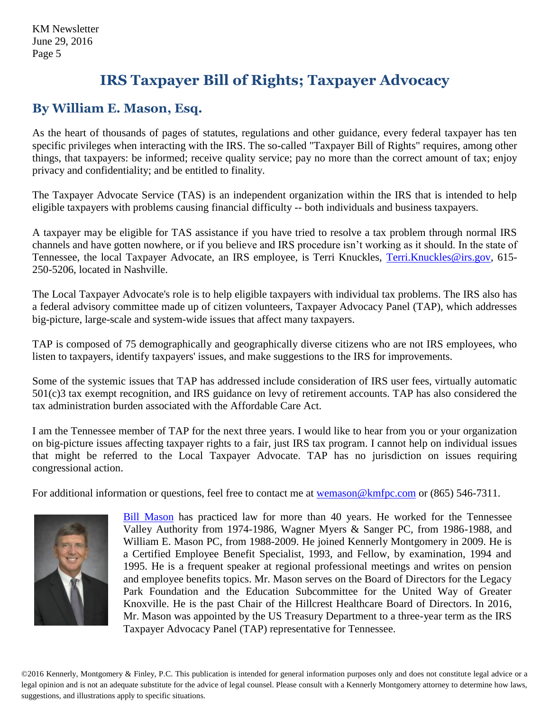## **IRS Taxpayer Bill of Rights; Taxpayer Advocacy**

#### **By William E. Mason, Esq.**

As the heart of thousands of pages of statutes, regulations and other guidance, every federal taxpayer has ten specific privileges when interacting with the IRS. The so-called "Taxpayer Bill of Rights" requires, among other things, that taxpayers: be informed; receive quality service; pay no more than the correct amount of tax; enjoy privacy and confidentiality; and be entitled to finality.

The Taxpayer Advocate Service (TAS) is an independent organization within the IRS that is intended to help eligible taxpayers with problems causing financial difficulty -- both individuals and business taxpayers.

A taxpayer may be eligible for TAS assistance if you have tried to resolve a tax problem through normal IRS channels and have gotten nowhere, or if you believe and IRS procedure isn't working as it should. In the state of Tennessee, the local Taxpayer Advocate, an IRS employee, is Terri Knuckles, [Terri.Knuckles@irs.gov,](mailto:Terri.Knuckles@irs.gov) 615-250-5206, located in Nashville.

The Local Taxpayer Advocate's role is to help eligible taxpayers with individual tax problems. The IRS also has a federal advisory committee made up of citizen volunteers, Taxpayer Advocacy Panel (TAP), which addresses big-picture, large-scale and system-wide issues that affect many taxpayers.

TAP is composed of 75 demographically and geographically diverse citizens who are not IRS employees, who listen to taxpayers, identify taxpayers' issues, and make suggestions to the IRS for improvements.

Some of the systemic issues that TAP has addressed include consideration of IRS user fees, virtually automatic 501(c)3 tax exempt recognition, and IRS guidance on levy of retirement accounts. TAP has also considered the tax administration burden associated with the Affordable Care Act.

I am the Tennessee member of TAP for the next three years. I would like to hear from you or your organization on big-picture issues affecting taxpayer rights to a fair, just IRS tax program. I cannot help on individual issues that might be referred to the Local Taxpayer Advocate. TAP has no jurisdiction on issues requiring congressional action.

For additional information or questions, feel free to contact me at [wemason@kmfpc.com](mailto:wemason@kmfpc.com) or (865) 546-7311.



[Bill Mason](http://www.kmfpc.com/attorneys/bill_mason.aspx) has practiced law for more than 40 years. He worked for the Tennessee Valley Authority from 1974-1986, Wagner Myers & Sanger PC, from 1986-1988, and William E. Mason PC, from 1988-2009. He joined Kennerly Montgomery in 2009. He is a Certified Employee Benefit Specialist, 1993, and Fellow, by examination, 1994 and 1995. He is a frequent speaker at regional professional meetings and writes on pension and employee benefits topics. Mr. Mason serves on the Board of Directors for the Legacy Park Foundation and the Education Subcommittee for the United Way of Greater Knoxville. He is the past Chair of the Hillcrest Healthcare Board of Directors. In 2016, Mr. Mason was appointed by the US Treasury Department to a three-year term as the IRS Taxpayer Advocacy Panel (TAP) representative for Tennessee.